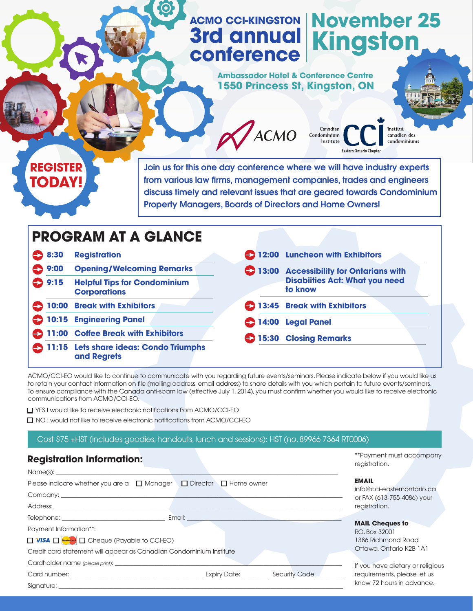# **ACMO CCI-KINGSTON November 25 3rd annual Kingston conference**

Canadian

**Eastern Ontario Chapter** 

Condominium Institute

**Ambassador Hotel & Conference Centre 1550 Princess St, Kingston, ON**



Join us for this one day conference where we will have industry experts from various law firms, management companies, trades and engineers discuss timely and relevant issues that are geared towards Condominium Property Managers, Boards of Directors and Home Owners!

**ACMO** 

| <b>PROGRAM AT A GLANCE</b> |                |                                                            |        |                                                  |  |  |  |  |
|----------------------------|----------------|------------------------------------------------------------|--------|--------------------------------------------------|--|--|--|--|
|                            | € 8:30         | <b>Registration</b>                                        |        | 12:00 Luncheon with Exhibitors                   |  |  |  |  |
|                            | $\bullet$ 9:00 | <b>Opening/Welcoming Remarks</b>                           |        | 13:00 Accessibility for Ontarians with           |  |  |  |  |
|                            | $\bullet$ 9:15 | <b>Helpful Tips for Condominium</b><br><b>Corporations</b> |        | <b>Disabiities Act: What you need</b><br>to know |  |  |  |  |
|                            |                | <b>10:00 Break with Exhibitors</b>                         |        | 13:45 Break with Exhibitors                      |  |  |  |  |
| $\bullet$                  |                | <b>10:15 Engineering Panel</b>                             | 214:00 | <b>Legal Panel</b>                               |  |  |  |  |
| 6                          |                | 11:00 Coffee Break with Exhibitors                         |        | 15:30 Closing Remarks                            |  |  |  |  |
| $\boldsymbol{\Theta}$      |                | 11:15 Lets share ideas: Condo Triumphs<br>and Regrets      |        |                                                  |  |  |  |  |

ACMO/CCI-EO would like to continue to communicate with you regarding future events/seminars. Please indicate below if you would like us to retain your contact information on file (mailing address, email address) to share details with you which pertain to future events/seminars. To ensure compliance with the Canada anti-spam law (effective July 1, 2014), you must confirm whether you would like to receive electronic communications from ACMO/CCI-EO.

□ YES I would like to receive electronic notifications from ACMO/CCI-EO

□ NO I would not like to receive electronic notifications from ACMO/CCI-EO

Cost \$75 +HST (includes goodies, handouts, lunch and sessions): HST (no. 89966 7364 RT0006)

### **Registration Information:**

| Name(s):                                                                                                                                                                                                                             |                                          |                                                          |
|--------------------------------------------------------------------------------------------------------------------------------------------------------------------------------------------------------------------------------------|------------------------------------------|----------------------------------------------------------|
| Please indicate whether you are a $\Box$ Manager $\Box$ Director $\Box$ Home owner                                                                                                                                                   |                                          | <b>EMAIL</b>                                             |
|                                                                                                                                                                                                                                      |                                          | info@cci-easternontario.ca<br>or FAX (613-755-4086) your |
|                                                                                                                                                                                                                                      |                                          | registration.                                            |
| Telephone: Telephone:<br>Email:                                                                                                                                                                                                      |                                          |                                                          |
| Payment Information**:                                                                                                                                                                                                               | <b>MAIL Cheques to</b><br>P.O. Box 32001 |                                                          |
| □ VISA □ MasterCard □ Cheque (Payable to CCI-EO)                                                                                                                                                                                     | 1386 Richmond Road                       |                                                          |
| Credit card statement will appear as Canadian Condominium Institute                                                                                                                                                                  | Ottawa, Ontario K2B 1A1                  |                                                          |
|                                                                                                                                                                                                                                      |                                          | If you have dietary or religious                         |
| Card number: <u>contract and contract and contract and contract and contract and contract and contract and contract and contract and contract and contract and contract and contract and contract and contract and contract and </u> | Expiry Date: Security Code               | requirements, please let us                              |
| Signature:                                                                                                                                                                                                                           |                                          | know 72 hours in advance.                                |

\*\*Payment must accompany registration.

**MAY 5-7** 

n des<br>iniums

Institut

If you have dietary or religious know 72 hours in advance.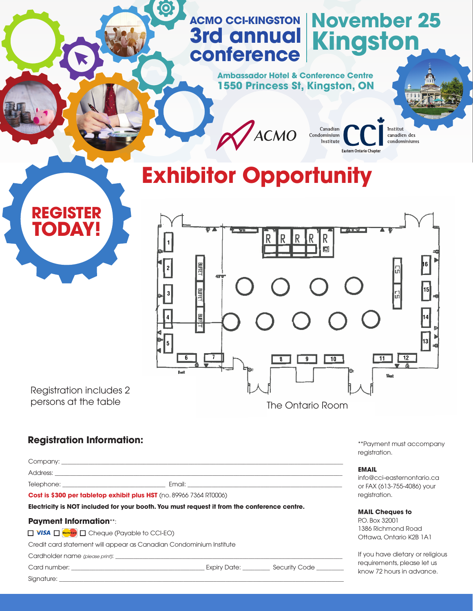## **ACMO CCI-KINGSTON November 25 3rd annual conference Kingston**

Canadian<br>Condominium<br>Institute

**Eastern Ontario Chapter** 

**Ambassador Hotel & Conference Centre 1550 Princess St, Kingston, ON**



# **Exhibitor Opportunity**

ACMO



Registration includes 2

**REGISTER TODAY!**

### **Registration Information:**

Company:

Address: \_\_\_\_\_\_\_\_\_\_\_\_\_\_\_\_\_\_\_\_\_\_\_\_\_\_\_\_\_\_\_\_\_\_\_\_\_\_\_\_\_\_\_\_\_\_\_\_\_\_\_\_\_\_\_\_\_\_\_\_\_\_\_\_\_\_\_\_\_\_\_\_\_\_\_\_\_\_\_\_\_\_\_\_\_\_\_\_\_\_\_\_\_\_\_

Telephone: \_\_\_\_\_\_\_\_\_\_\_\_\_\_\_\_\_\_\_\_\_\_\_\_\_\_\_\_\_\_\_\_\_\_ Email: \_\_\_\_\_\_\_\_\_\_\_\_\_\_\_\_\_\_\_\_\_\_\_\_\_\_\_\_\_\_\_\_\_\_\_\_\_\_\_\_\_\_\_\_\_\_\_\_\_\_\_

**Cost is \$300 per tabletop exhibit plus HST** (no. 89966 7364 RT0006)

**Electricity is NOT included for your booth. You must request it from the conference centre.**

#### **Payment Information**\*\*:

 $\Box$  VISA  $\Box$  MasterCard  $\Box$  Cheque (Payable to CCI-EO)

Credit card statement will appear as Canadian Condominium Institute

Cardholder name (please print):

Signature: \_\_\_\_\_\_\_\_\_\_\_\_\_\_\_\_\_\_\_\_\_\_\_\_\_\_\_\_\_\_\_\_\_\_\_\_\_\_\_\_\_\_\_\_\_\_\_\_\_\_\_\_\_\_\_\_\_\_\_\_\_\_\_\_\_\_\_\_\_\_\_\_\_\_\_\_\_\_\_\_\_\_\_\_\_\_\_\_\_\_\_\_\_\_

\*\*Payment must accompany registration.

#### **EMAIL**

info@cci-easternontario.ca or FAX (613-755-4086) your registration.

#### **MAIL Cheques to**

P.O. Box 32001 1386 Richmond Road Ottawa, Ontario K2B 1A1

If you have dietary or religious requirements, please let us know 72 hours in advance.

Card number: \_\_\_\_\_\_\_\_\_\_\_\_\_\_\_\_\_\_\_\_\_\_\_\_\_\_\_\_\_\_\_\_\_\_\_\_\_\_\_\_\_\_\_\_ Expiry Date: \_\_\_\_\_\_\_\_\_ Security Code \_\_\_\_\_\_\_\_\_